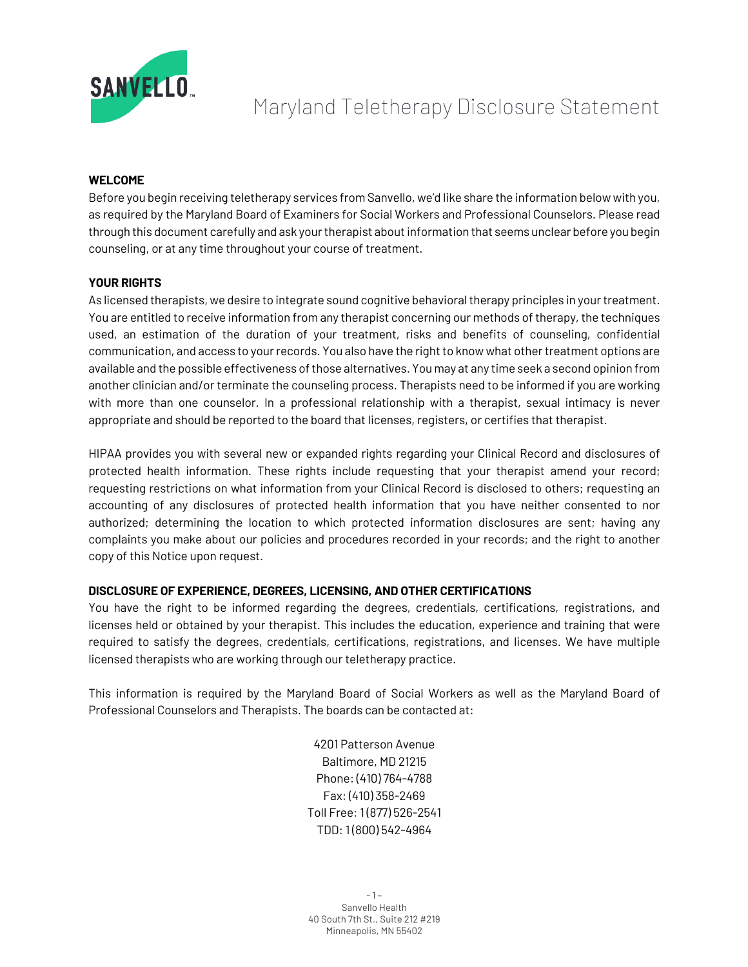

# Maryland Teletherapy Disclosure Statement

## **WELCOME**

Before you begin receiving teletherapy services from Sanvello, we'd like share the information below with you, as required by the Maryland Board of Examiners for Social Workers and Professional Counselors. Please read through this document carefully and ask your therapist about information that seems unclear before you begin counseling, or at any time throughout your course of treatment.

## **YOUR RIGHTS**

As licensed therapists, we desire to integrate sound cognitive behavioral therapy principles in your treatment. You are entitled to receive information from any therapist concerning our methods of therapy, the techniques used, an estimation of the duration of your treatment, risks and benefits of counseling, confidential communication, and access to your records. You also have the right to know what other treatment options are available and the possible effectiveness of those alternatives. You may at any time seek a second opinion from another clinician and/or terminate the counseling process. Therapists need to be informed if you are working with more than one counselor. In a professional relationship with a therapist, sexual intimacy is never appropriate and should be reported to the board that licenses, registers, or certifies that therapist.

HIPAA provides you with several new or expanded rights regarding your Clinical Record and disclosures of protected health information. These rights include requesting that your therapist amend your record; requesting restrictions on what information from your Clinical Record is disclosed to others; requesting an accounting of any disclosures of protected health information that you have neither consented to nor authorized; determining the location to which protected information disclosures are sent; having any complaints you make about our policies and procedures recorded in your records; and the right to another copy of this Notice upon request.

# **DISCLOSURE OF EXPERIENCE, DEGREES, LICENSING, AND OTHER CERTIFICATIONS**

You have the right to be informed regarding the degrees, credentials, certifications, registrations, and licenses held or obtained by your therapist. This includes the education, experience and training that were required to satisfy the degrees, credentials, certifications, registrations, and licenses. We have multiple licensed therapists who are working through our teletherapy practice.

This information is required by the Maryland Board of Social Workers as well as the Maryland Board of Professional Counselors and Therapists. The boards can be contacted at:

> 4201 Patterson Avenue Baltimore, MD 21215 Phone: (410) 764-4788 Fax: (410) 358-2469 Toll Free: 1 (877) 526-2541 TDD: 1 (800) 542-4964

- 1 – Sanvello Health 40 South 7th St., Suite 212 #219 Minneapolis, MN 55402